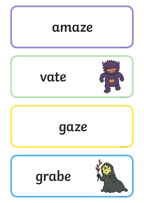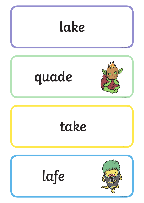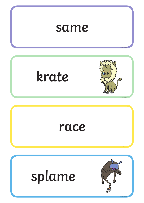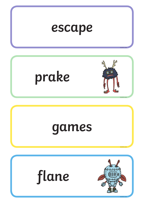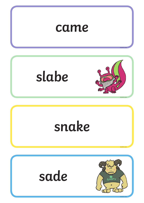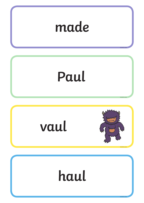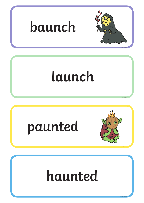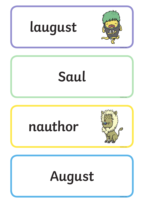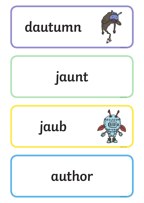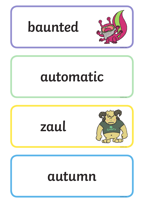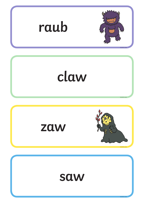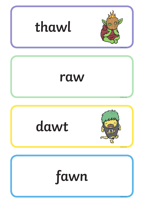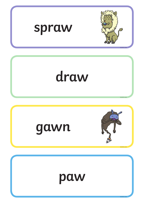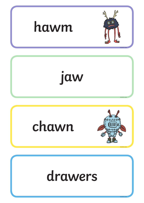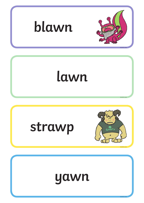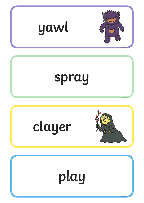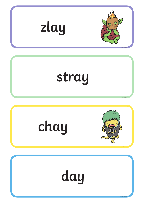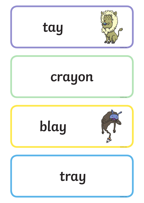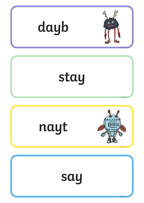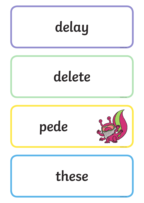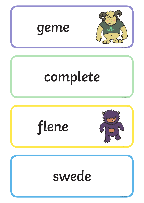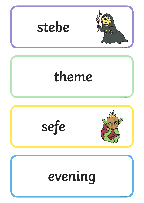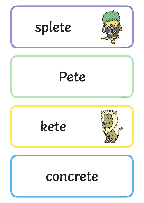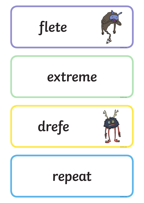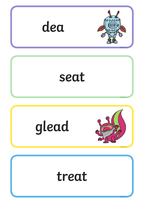![](_page_24_Figure_0.jpeg)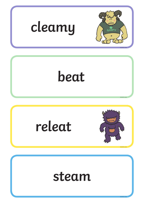![](_page_25_Figure_0.jpeg)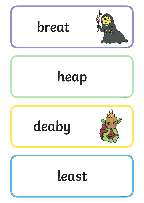![](_page_26_Figure_0.jpeg)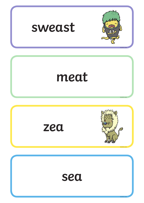![](_page_27_Figure_0.jpeg)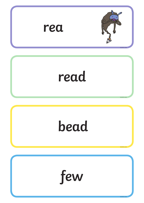![](_page_28_Figure_0.jpeg)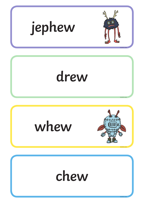![](_page_29_Figure_0.jpeg)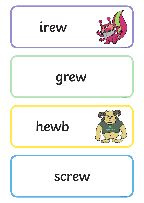![](_page_30_Figure_0.jpeg)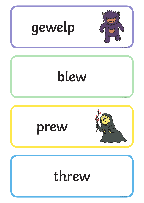![](_page_31_Figure_0.jpeg)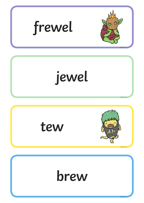![](_page_32_Figure_0.jpeg)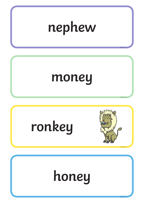![](_page_33_Figure_0.jpeg)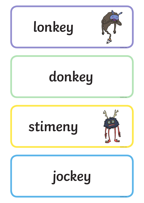![](_page_34_Figure_0.jpeg)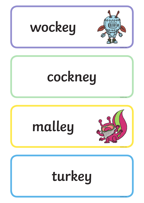![](_page_35_Picture_0.jpeg)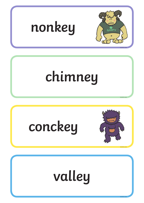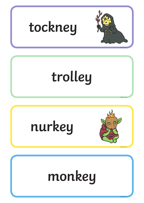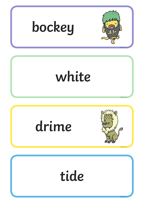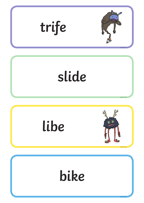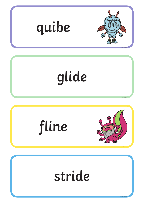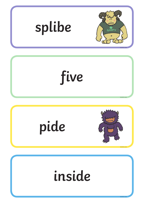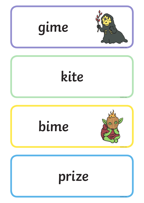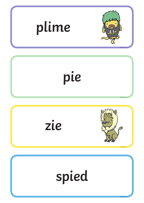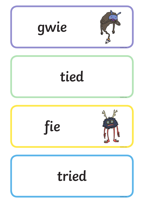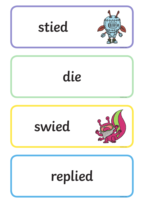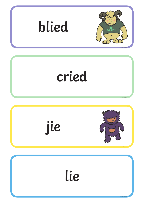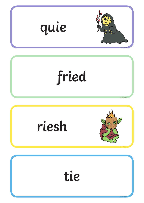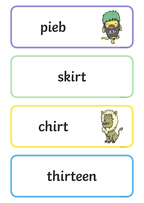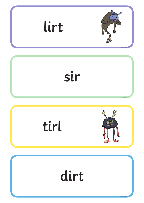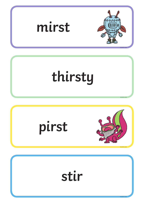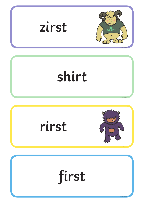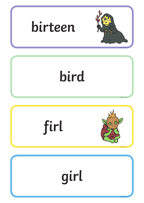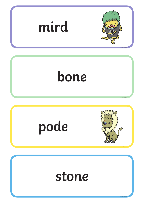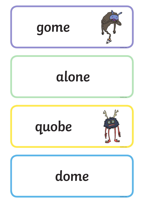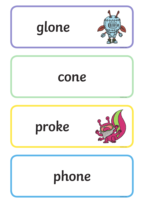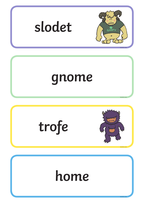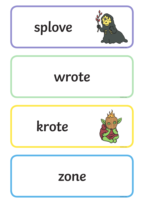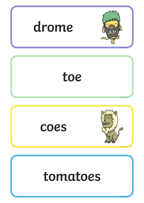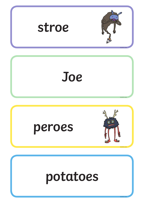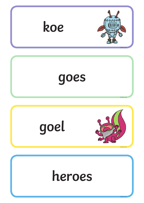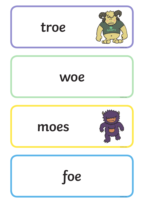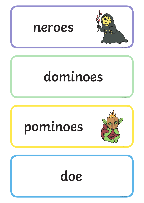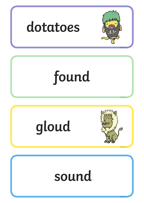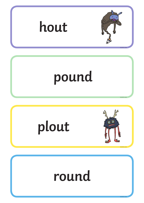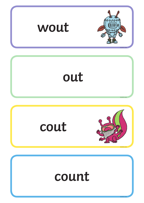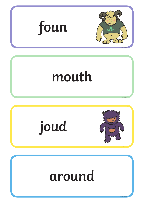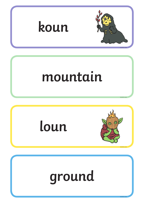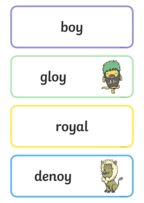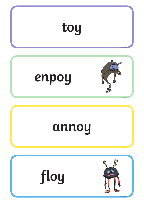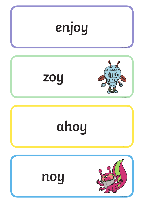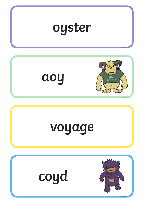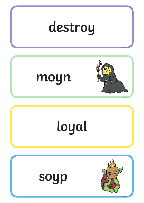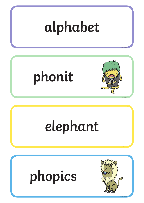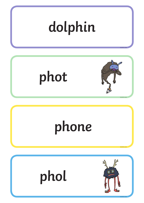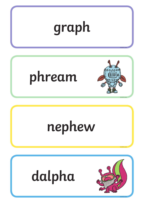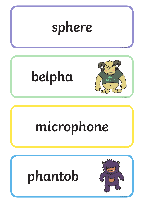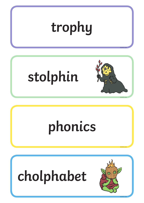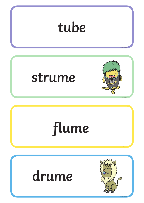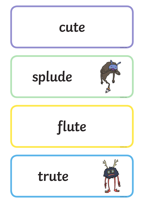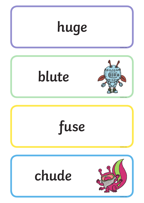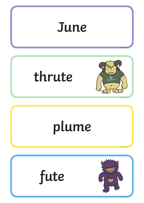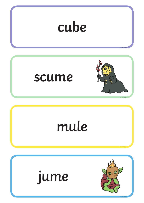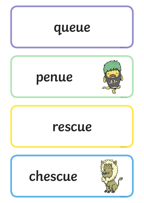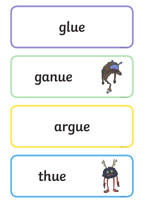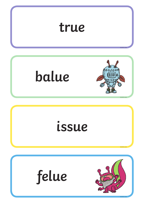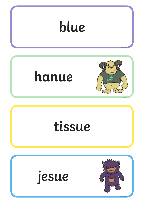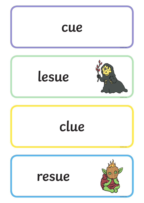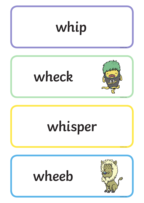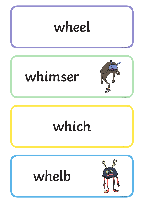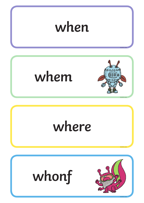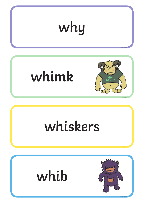